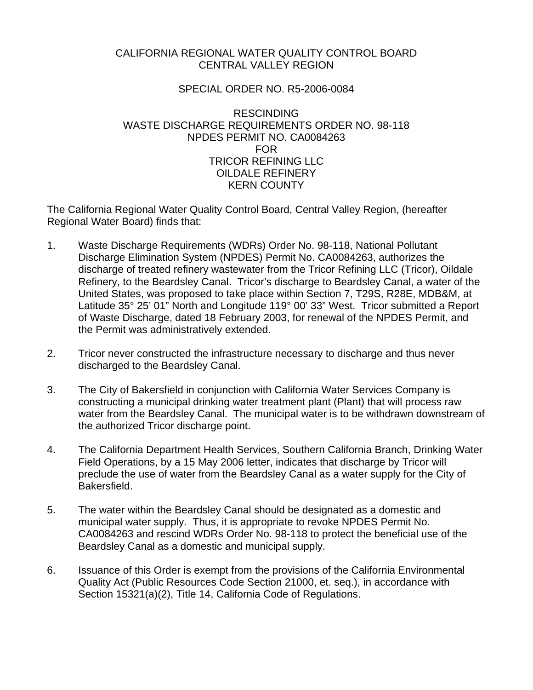## CALIFORNIA REGIONAL WATER QUALITY CONTROL BOARD CENTRAL VALLEY REGION

## SPECIAL ORDER NO. R5-2006-0084

## RESCINDING WASTE DISCHARGE REQUIREMENTS ORDER NO. 98-118 NPDES PERMIT NO. CA0084263 FOR TRICOR REFINING LLC OILDALE REFINERY KERN COUNTY

The California Regional Water Quality Control Board, Central Valley Region, (hereafter Regional Water Board) finds that:

- 1. Waste Discharge Requirements (WDRs) Order No. 98-118, National Pollutant Discharge Elimination System (NPDES) Permit No. CA0084263, authorizes the discharge of treated refinery wastewater from the Tricor Refining LLC (Tricor), Oildale Refinery, to the Beardsley Canal. Tricor's discharge to Beardsley Canal, a water of the United States, was proposed to take place within Section 7, T29S, R28E, MDB&M, at Latitude 35° 25' 01" North and Longitude 119° 00' 33" West. Tricor submitted a Report of Waste Discharge, dated 18 February 2003, for renewal of the NPDES Permit, and the Permit was administratively extended.
- 2. Tricor never constructed the infrastructure necessary to discharge and thus never discharged to the Beardsley Canal.
- 3. The City of Bakersfield in conjunction with California Water Services Company is constructing a municipal drinking water treatment plant (Plant) that will process raw water from the Beardsley Canal. The municipal water is to be withdrawn downstream of the authorized Tricor discharge point.
- 4. The California Department Health Services, Southern California Branch, Drinking Water Field Operations, by a 15 May 2006 letter, indicates that discharge by Tricor will preclude the use of water from the Beardsley Canal as a water supply for the City of Bakersfield.
- 5. The water within the Beardsley Canal should be designated as a domestic and municipal water supply. Thus, it is appropriate to revoke NPDES Permit No. CA0084263 and rescind WDRs Order No. 98-118 to protect the beneficial use of the Beardsley Canal as a domestic and municipal supply.
- 6. Issuance of this Order is exempt from the provisions of the California Environmental Quality Act (Public Resources Code Section 21000, et. seq.), in accordance with Section 15321(a)(2), Title 14, California Code of Regulations.